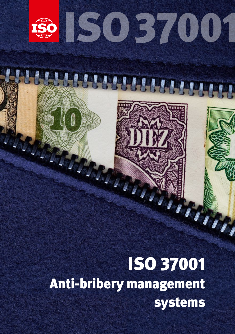

Anti-bribery management systems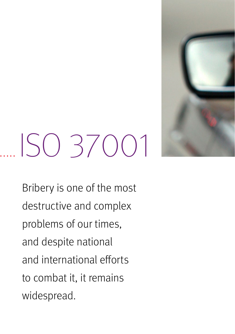

# ISO 37001

Bribery is one of the most destructive and complex problems of our times, and despite national and international efforts to combat it, it remains widespread.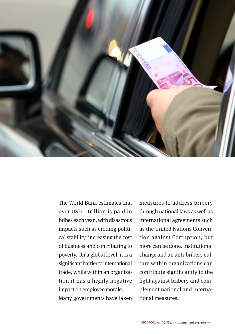

The World Bank estimates that over USD 1 trillion is paid in bribes each year , with disastrous impacts such as eroding political stability, increasing the cost of business and contributing to poverty. On a global level, it is a significant barrier to international trade, while within an organization it has a highly negative impact on employee morale. Many governments have taken

measures to address bribery through national laws as well as international agreements such as the United Nations Convention against Corruption, but more can be done. Institutional change and an anti-bribery culture within organizations can contribute significantly to the fight against bribery and complement national and international measures.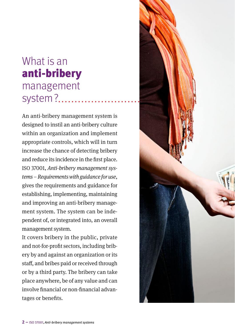### What is an anti-bribery management system?...............

An anti-bribery management system is designed to instil an anti-bribery culture within an organization and implement appropriate controls, which will in turn increase the chance of detecting bribery and reduce its incidence in the first place. ISO 37001, *Anti-bribery management systems – Requirements with guidance for use*, gives the requirements and guidance for establishing, implementing, maintaining and improving an anti-bribery management system. The system can be independent of, or integrated into, an overall management system.

It covers bribery in the public, private and not-for-profit sectors, including bribery by and against an organization or its staff, and bribes paid or received through or by a third party. The bribery can take place anywhere, be of any value and can involve financial or non-financial advantages or benefits.

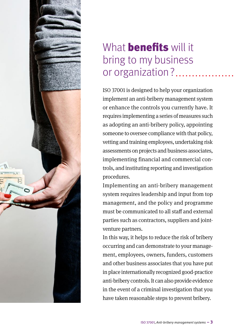

#### What **benefits** will it bring to my business or organization?

ISO 37001 is designed to help your organization implement an anti-bribery management system or enhance the controls you currently have. It requires implementing a series of measures such as adopting an anti-bribery policy, appointing someone to oversee compliance with that policy, vetting and training employees, undertaking risk assessments on projects and business associates, implementing financial and commercial controls, and instituting reporting and investigation procedures.

Implementing an anti-bribery management system requires leadership and input from top management, and the policy and programme must be communicated to all staff and external parties such as contractors, suppliers and jointventure partners.

In this way, it helps to reduce the risk of bribery occurring and can demonstrate to your management, employees, owners, funders, customers and other business associates that you have put in place internationally recognized good-practice anti-bribery controls. It can also provide evidence in the event of a criminal investigation that you have taken reasonable steps to prevent bribery.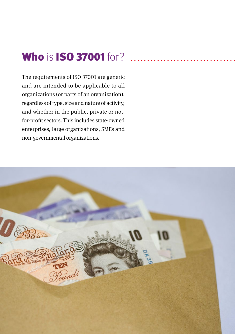#### **Who is ISO 37001** for?

The requirements of ISO 37001 are generic and are intended to be applicable to all organizations (or parts of an organization), regardless of type, size and nature of activity, and whether in the public, private or notfor-profit sectors. This includes state-owned enterprises, large organizations, SMEs and non-governmental organizations.

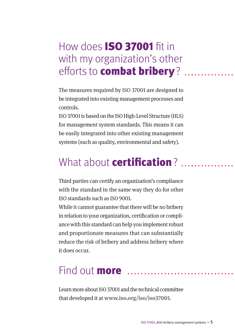#### How does ISO 37001 fit in with my organization's other efforts to **combat bribery**? .....

The measures required by ISO 37001 are designed to be integrated into existing management processes and controls.

ISO 37001 is based on the ISO High-Level Structure (HLS) for management system standards. This means it can be easily integrated into other existing management systems (such as quality, environmental and safety).

#### What about **certification**? ........

Third parties can certify an organization's compliance with the standard in the same way they do for other ISO standards such as ISO 9001.

While it cannot guarantee that there will be no bribery in relation to your organization, certification or compliance with this standard can help you implement robust and proportionate measures that can substantially reduce the risk of bribery and address bribery where it does occur.

#### Find out **more** ...................

Learn more about ISO 37001 and the technical committee that developed it at **[www.iso.org/iso/iso37001](http://www.iso.org/iso/iso37001)**.